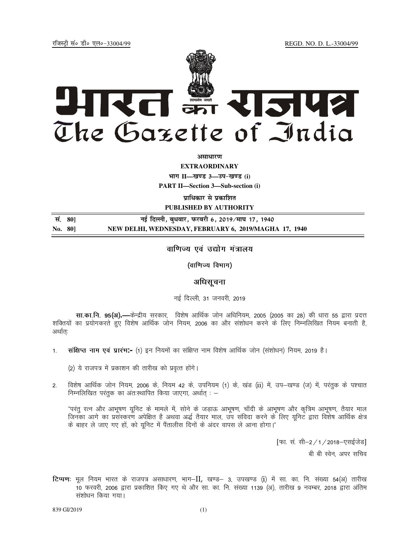REGD. NO. D. L.-33004/99

रजिस्टी सं० डी० एल०-33004/99



अमाधारण

**EXTRAORDINARY** भाग II-खण्ड 3-उप-खण्ड (i)

**PART II-Section 3-Sub-section (i)** 

प्राधिकार से प्रकाशित PUBLISHED BY AUTHORITY

नई दिल्ली, बुधवार, फरवरी 6, 2019⁄माघ 17, 1940 सं. 80] No. 80] NEW DELHI, WEDNESDAY, FEBRUARY 6, 2019/MAGHA 17, 1940

# वाणिज्य एवं उद्योग मंत्रालय

(वाणिज्य विभाग)

## अधिसूचना

नई दिल्ली, 31 जनवरी, 2019

**सा.का.नि. 95(अ).—**केन्द्रीय सरकार, विशेष आर्थिक जोन अधिनियम, 2005 (2005 का 28) की धारा 55 द्वारा प्रदत्त शक्तियों का प्रयोगकरते हुए विशेष आर्थिक जोन नियम, 2006 का और संशोधन करने के लिए निम्नलिखित नियम बनाती है, अर्थातः

संक्षिप्त नाम एवं प्रारंभ:- (1) इन नियमों का संक्षिप्त नाम विशेष आर्थिक जोन (संशोधन) नियम, 2019 है।  $1.$ 

(2) ये राजपत्र में प्रकाशन की तारीख को प्रवृत्त होंगे।

विशेष आर्थिक जोन नियम, 2006 के, नियम 42 के, उपनियम (1) के, खंड (ii) में, उप–खण्ड (ज) में, परंतुक के पश्चात  $2<sup>1</sup>$ निम्नलिखित परंतुक का अंतःस्थापित किया जाएगा, अर्थात : –

"परंतु रत्न और आभूषण युनिट के मामले में, सोने के जडाऊ आभूषण, चाँदी के आभूषण और कृत्रिम आभूषण, तैयार माल जिनका आगे का प्रसंस्करण अपेक्षित है अथवा अर्द्ध तैयार माल, उप संविदा करने के लिए यूनिट द्वारा विशेष आर्थिक क्षेत्र के बाहर ले जाए गए हों, को युनिट में पैंतालीस दिनों के अंदर वापस ले आना होगा।"

[फा. सं. सी-2/1/2018-एसईजेड]

बी बी स्वेन, अपर सचिव

टिप्पणः मूल नियम भारत के राजपत्र असाधारण, भाग-II, खण्ड- 3, उपखण्ड (i) में सा. का. नि. संख्या 54(अ) तारीख 10 फरवरी, 2006 द्वारा प्रकाशित किए गए थे और सा. का. नि. संख्या 1139 (अ), तारीख 9 नवम्बर, 2018 द्वारा अंतिम संशोधन किया गया।

839 GI/2019